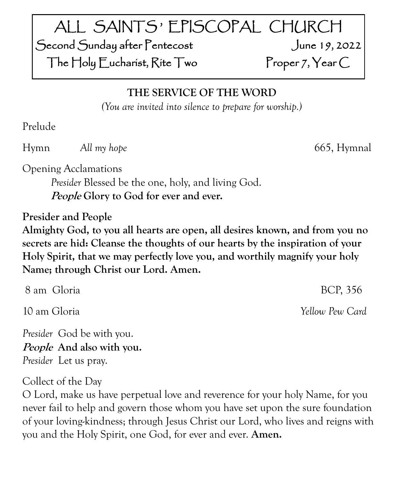# ALL SAINTS ' EPISCOPAL CHURCH Second Sunday after Pentecost June 19, 2022 The Holy Eucharist, Rite Two Proper 7, Year C

## **THE SERVICE OF THE WORD**

*(You are invited into silence to prepare for worship.)*

Prelude

Hymn *All my hope* 665, Hymnal

Opening Acclamations

*Presider* Blessed be the one, holy, and living God. **People Glory to God for ever and ever.**

**Presider and People** 

**Almighty God, to you all hearts are open, all desires known, and from you no secrets are hid: Cleanse the thoughts of our hearts by the inspiration of your Holy Spirit, that we may perfectly love you, and worthily magnify your holy Name; through Christ our Lord. Amen.**

| 8 am Gloria                                                   | BCP, 356        |
|---------------------------------------------------------------|-----------------|
| 10 am Gloria                                                  | Yellow Pew Card |
| Presider God be with you.<br><i>People</i> And also with you. |                 |

Collect of the Day

*Presider* Let us pray.

O Lord, make us have perpetual love and reverence for your holy Name, for you never fail to help and govern those whom you have set upon the sure foundation of your loving-kindness; through Jesus Christ our Lord, who lives and reigns with you and the Holy Spirit, one God, for ever and ever. **Amen.**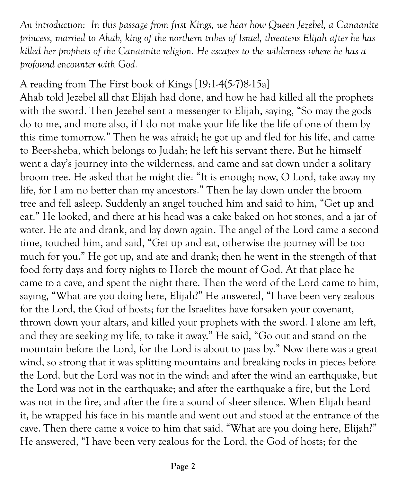*An introduction: In this passage from first Kings, we hear how Queen Jezebel, a Canaanite princess, married to Ahab, king of the northern tribes of Israel, threatens Elijah after he has killed her prophets of the Canaanite religion. He escapes to the wilderness where he has a profound encounter with God.*

## A reading from The First book of Kings [19:1-4(5-7)8-15a]

Ahab told Jezebel all that Elijah had done, and how he had killed all the prophets with the sword. Then Jezebel sent a messenger to Elijah, saying, "So may the gods do to me, and more also, if I do not make your life like the life of one of them by this time tomorrow." Then he was afraid; he got up and fled for his life, and came to Beer-sheba, which belongs to Judah; he left his servant there. But he himself went a day's journey into the wilderness, and came and sat down under a solitary broom tree. He asked that he might die: "It is enough; now, O Lord, take away my life, for I am no better than my ancestors." Then he lay down under the broom tree and fell asleep. Suddenly an angel touched him and said to him, "Get up and eat." He looked, and there at his head was a cake baked on hot stones, and a jar of water. He ate and drank, and lay down again. The angel of the Lord came a second time, touched him, and said, "Get up and eat, otherwise the journey will be too much for you." He got up, and ate and drank; then he went in the strength of that food forty days and forty nights to Horeb the mount of God. At that place he came to a cave, and spent the night there. Then the word of the Lord came to him, saying, "What are you doing here, Elijah?" He answered, "I have been very zealous for the Lord, the God of hosts; for the Israelites have forsaken your covenant, thrown down your altars, and killed your prophets with the sword. I alone am left, and they are seeking my life, to take it away." He said, "Go out and stand on the mountain before the Lord, for the Lord is about to pass by." Now there was a great wind, so strong that it was splitting mountains and breaking rocks in pieces before the Lord, but the Lord was not in the wind; and after the wind an earthquake, but the Lord was not in the earthquake; and after the earthquake a fire, but the Lord was not in the fire; and after the fire a sound of sheer silence. When Elijah heard it, he wrapped his face in his mantle and went out and stood at the entrance of the cave. Then there came a voice to him that said, "What are you doing here, Elijah?" He answered, "I have been very zealous for the Lord, the God of hosts; for the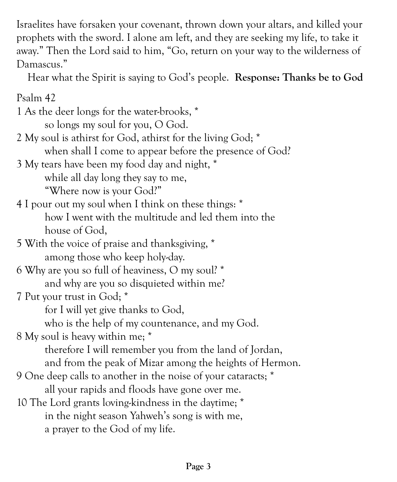Israelites have forsaken your covenant, thrown down your altars, and killed your prophets with the sword. I alone am left, and they are seeking my life, to take it away." Then the Lord said to him, "Go, return on your way to the wilderness of Damascus."

Hear what the Spirit is saying to God's people. **Response: Thanks be to God**

Psalm 42 1 As the deer longs for the water-brooks, \* so longs my soul for you, O God. 2 My soul is athirst for God, athirst for the living God; \* when shall I come to appear before the presence of God? 3 My tears have been my food day and night, \* while all day long they say to me, "Where now is your God?" 4 I pour out my soul when I think on these things: \* how I went with the multitude and led them into the house of God, 5 With the voice of praise and thanksgiving, \* among those who keep holy-day. 6 Why are you so full of heaviness, O my soul? \* and why are you so disquieted within me? 7 Put your trust in God; \* for I will yet give thanks to God, who is the help of my countenance, and my God. 8 My soul is heavy within me; \* therefore I will remember you from the land of Jordan, and from the peak of Mizar among the heights of Hermon. 9 One deep calls to another in the noise of your cataracts; \* all your rapids and floods have gone over me. 10 The Lord grants loving-kindness in the daytime; \* in the night season Yahweh's song is with me, a prayer to the God of my life.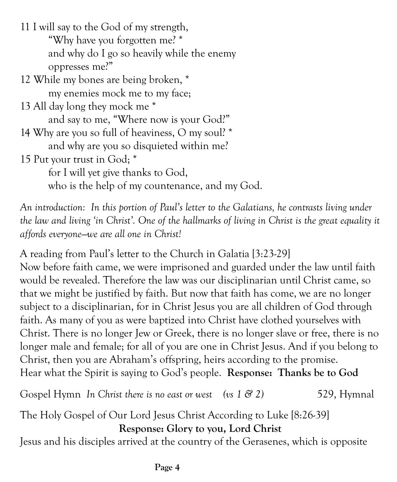11 I will say to the God of my strength, "Why have you forgotten me? \* and why do I go so heavily while the enemy oppresses me?"

- 12 While my bones are being broken, \* my enemies mock me to my face;
- 13 All day long they mock me \* and say to me, "Where now is your God?"
- 14 Why are you so full of heaviness, O my soul? \* and why are you so disquieted within me?
- 15 Put your trust in God; \*

for I will yet give thanks to God,

who is the help of my countenance, and my God.

*An introduction: In this portion of Paul's letter to the Galatians, he contrasts living under the law and living 'in Christ'. One of the hallmarks of living in Christ is the great equality it affords everyone—we are all one in Christ!*

A reading from Paul's letter to the Church in Galatia [3:23-29]

Now before faith came, we were imprisoned and guarded under the law until faith would be revealed. Therefore the law was our disciplinarian until Christ came, so that we might be justified by faith. But now that faith has come, we are no longer subject to a disciplinarian, for in Christ Jesus you are all children of God through faith. As many of you as were baptized into Christ have clothed yourselves with Christ. There is no longer Jew or Greek, there is no longer slave or free, there is no longer male and female; for all of you are one in Christ Jesus. And if you belong to Christ, then you are Abraham's offspring, heirs according to the promise. Hear what the Spirit is saying to God's people. **Response: Thanks be to God**

Gospel Hymn *In Christ there is no east or west* (vs 1  $\mathcal{C}(2)$  529, Hymnal

The Holy Gospel of Our Lord Jesus Christ According to Luke [8:26-39] **Response: Glory to you, Lord Christ**

Jesus and his disciples arrived at the country of the Gerasenes, which is opposite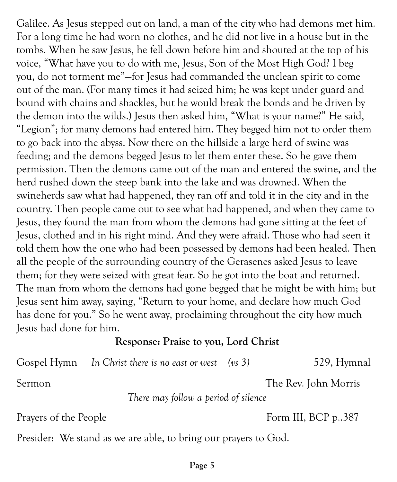Gospel Hymn *In Christ there is no east or west (vs 3)* 529, Hymnal Sermon The Rev. John Morris *There may follow a period of silence* Prayers of the People Form III, BCP p..387 Presider: We stand as we are able, to bring our prayers to God. **Page 5**

you, do not torment me"—for Jesus had commanded the unclean spirit to come out of the man. (For many times it had seized him; he was kept under guard and bound with chains and shackles, but he would break the bonds and be driven by the demon into the wilds.) Jesus then asked him, "What is your name?" He said, "Legion"; for many demons had entered him. They begged him not to order them to go back into the abyss. Now there on the hillside a large herd of swine was feeding; and the demons begged Jesus to let them enter these. So he gave them permission. Then the demons came out of the man and entered the swine, and the herd rushed down the steep bank into the lake and was drowned. When the swineherds saw what had happened, they ran off and told it in the city and in the country. Then people came out to see what had happened, and when they came to Jesus, they found the man from whom the demons had gone sitting at the feet of Jesus, clothed and in his right mind. And they were afraid. Those who had seen it told them how the one who had been possessed by demons had been healed. Then all the people of the surrounding country of the Gerasenes asked Jesus to leave them; for they were seized with great fear. So he got into the boat and returned. The man from whom the demons had gone begged that he might be with him; but Jesus sent him away, saying, "Return to your home, and declare how much God has done for you." So he went away, proclaiming throughout the city how much Jesus had done for him. **Response: Praise to you, Lord Christ**

Galilee. As Jesus stepped out on land, a man of the city who had demons met him. For a long time he had worn no clothes, and he did not live in a house but in the tombs. When he saw Jesus, he fell down before him and shouted at the top of his voice, "What have you to do with me, Jesus, Son of the Most High God? I beg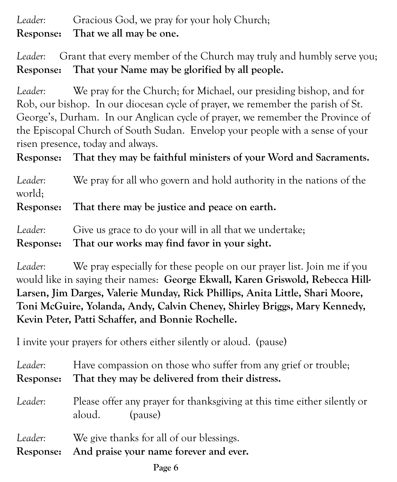*Leader:* Gracious God, we pray for your holy Church; **Response: That we all may be one.**

*Leader:* Grant that every member of the Church may truly and humbly serve you; **Response: That your Name may be glorified by all people.**

*Leader:* We pray for the Church; for Michael, our presiding bishop, and for Rob, our bishop. In our diocesan cycle of prayer, we remember the parish of St. George's, Durham. In our Anglican cycle of prayer, we remember the Province of the Episcopal Church of South Sudan. Envelop your people with a sense of your risen presence, today and always.

**Response: That they may be faithful ministers of your Word and Sacraments.**

*Leader:* We pray for all who govern and hold authority in the nations of the world;

**Response: That there may be justice and peace on earth.**

*Leader:* Give us grace to do your will in all that we undertake; **Response: That our works may find favor in your sight.**

*Leader:* We pray especially for these people on our prayer list. Join me if you would like in saying their names: **George Ekwall, Karen Griswold, Rebecca Hill-Larsen, Jim Darges, Valerie Munday, Rick Phillips, Anita Little, Shari Moore, Toni McGuire, Yolanda, Andy, Calvin Cheney, Shirley Briggs, Mary Kennedy, Kevin Peter, Patti Schaffer, and Bonnie Rochelle.**

I invite your prayers for others either silently or aloud. (pause)

| Leader:   | Have compassion on those who suffer from any grief or trouble;                                |
|-----------|-----------------------------------------------------------------------------------------------|
| Response: | That they may be delivered from their distress.                                               |
| Leader:   | Please offer any prayer for thanksgiving at this time either silently or<br>aloud.<br>(pause) |
| Leader:   | We give thanks for all of our blessings.                                                      |
| Response: | And praise your name forever and ever.                                                        |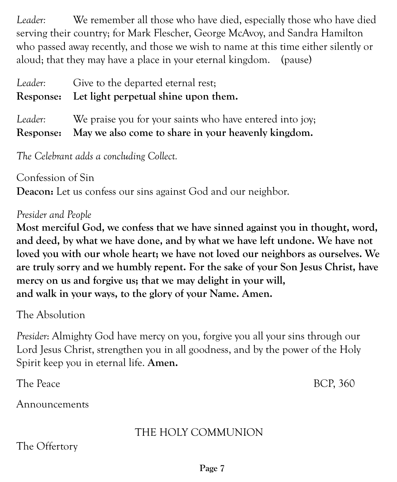*Leader:* We remember all those who have died, especially those who have died serving their country; for Mark Flescher, George McAvoy, and Sandra Hamilton who passed away recently, and those we wish to name at this time either silently or aloud; that they may have a place in your eternal kingdom. (pause)

| Leader: Give to the departed eternal rest;<br>Response: Let light perpetual shine upon them.                                      |
|-----------------------------------------------------------------------------------------------------------------------------------|
| Leader: We praise you for your saints who have entered into joy;<br>Response: May we also come to share in your heavenly kingdom. |

*The Celebrant adds a concluding Collect.*

Confession of Sin **Deacon:** Let us confess our sins against God and our neighbor.

#### *Presider and People*

**Most merciful God, we confess that we have sinned against you in thought, word, and deed, by what we have done, and by what we have left undone. We have not loved you with our whole heart; we have not loved our neighbors as ourselves. We are truly sorry and we humbly repent. For the sake of your Son Jesus Christ, have mercy on us and forgive us; that we may delight in your will, and walk in your ways, to the glory of your Name. Amen.**

The Absolution

*Presider*: Almighty God have mercy on you, forgive you all your sins through our Lord Jesus Christ, strengthen you in all goodness, and by the power of the Holy Spirit keep you in eternal life. **Amen.**

The Peace BCP, 360

Announcements

## THE HOLY COMMUNION

The Offertory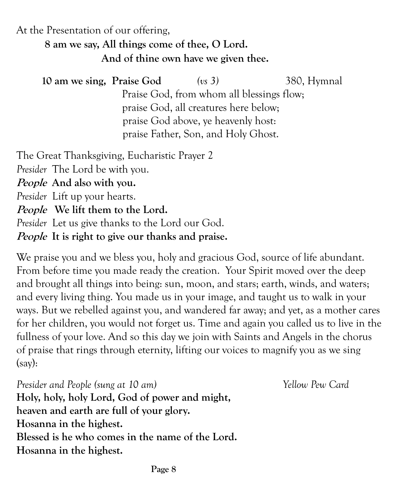At the Presentation of our offering,

**8 am we say, All things come of thee, O Lord. And of thine own have we given thee.**

 **10 am we sing, Praise God** *(vs 3)* 380, Hymnal Praise God, from whom all blessings flow; praise God, all creatures here below; praise God above, ye heavenly host: praise Father, Son, and Holy Ghost.

The Great Thanksgiving, Eucharistic Prayer 2 *Presider* The Lord be with you. **People And also with you.** *Presider* Lift up your hearts. **People We lift them to the Lord.**

*Presider* Let us give thanks to the Lord our God.

**People It is right to give our thanks and praise.**

We praise you and we bless you, holy and gracious God, source of life abundant. From before time you made ready the creation. Your Spirit moved over the deep and brought all things into being: sun, moon, and stars; earth, winds, and waters; and every living thing. You made us in your image, and taught us to walk in your ways. But we rebelled against you, and wandered far away; and yet, as a mother cares for her children, you would not forget us. Time and again you called us to live in the fullness of your love. And so this day we join with Saints and Angels in the chorus of praise that rings through eternity, lifting our voices to magnify you as we sing (say):

*Presider and People (sung at 10 am) Yellow Pew Card* **Holy, holy, holy Lord, God of power and might, heaven and earth are full of your glory. Hosanna in the highest. Blessed is he who comes in the name of the Lord. Hosanna in the highest.**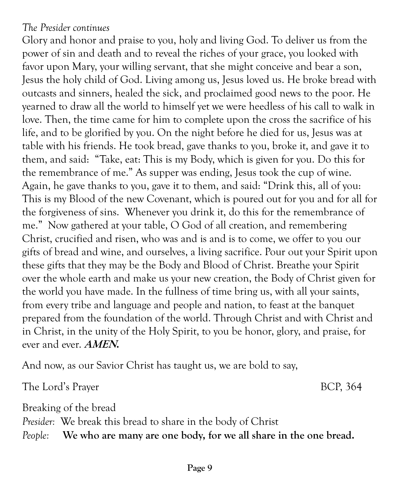#### *The Presider continues*

Glory and honor and praise to you, holy and living God. To deliver us from the power of sin and death and to reveal the riches of your grace, you looked with favor upon Mary, your willing servant, that she might conceive and bear a son, Jesus the holy child of God. Living among us, Jesus loved us. He broke bread with outcasts and sinners, healed the sick, and proclaimed good news to the poor. He yearned to draw all the world to himself yet we were heedless of his call to walk in love. Then, the time came for him to complete upon the cross the sacrifice of his life, and to be glorified by you. On the night before he died for us, Jesus was at table with his friends. He took bread, gave thanks to you, broke it, and gave it to them, and said: "Take, eat: This is my Body, which is given for you. Do this for the remembrance of me." As supper was ending, Jesus took the cup of wine. Again, he gave thanks to you, gave it to them, and said: "Drink this, all of you: This is my Blood of the new Covenant, which is poured out for you and for all for the forgiveness of sins. Whenever you drink it, do this for the remembrance of me." Now gathered at your table, O God of all creation, and remembering Christ, crucified and risen, who was and is and is to come, we offer to you our gifts of bread and wine, and ourselves, a living sacrifice. Pour out your Spirit upon these gifts that they may be the Body and Blood of Christ. Breathe your Spirit over the whole earth and make us your new creation, the Body of Christ given for the world you have made. In the fullness of time bring us, with all your saints, from every tribe and language and people and nation, to feast at the banquet prepared from the foundation of the world. Through Christ and with Christ and in Christ, in the unity of the Holy Spirit, to you be honor, glory, and praise, for ever and ever. **AMEN.**

And now, as our Savior Christ has taught us, we are bold to say,

The Lord's Prayer BCP, 364

Breaking of the bread *Presider:* We break this bread to share in the body of Christ *People:* **We who are many are one body, for we all share in the one bread.**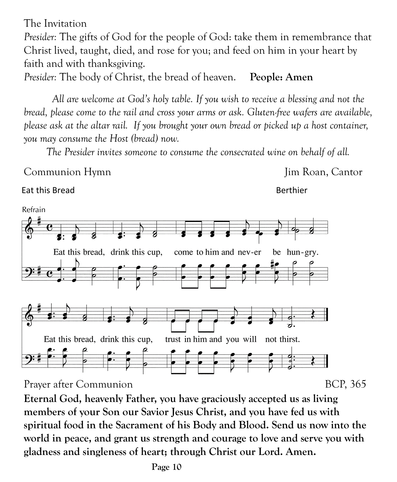**Page 10**

The Invitation

*Presider:* The gifts of God for the people of God: take them in remembrance that Christ lived, taught, died, and rose for you; and feed on him in your heart by faith and with thanksgiving.

*Presider:* The body of Christ, the bread of heaven. **People: Amen**

*All are welcome at God's holy table. If you wish to receive a blessing and not the bread, please come to the rail and cross your arms or ask. Gluten-free wafers are available, please ask at the altar rail. If you brought your own bread or picked up a host container, you may consume the Host (bread) now.*

*The Presider invites someone to consume the consecrated wine on behalf of all.*

Communion Hymn Jim Roan, Cantor

#### Eat this Bread Berthier

**Eternal God, heavenly Father, you have graciously accepted us as living members of your Son our Savior Jesus Christ, and you have fed us with spiritual food in the Sacrament of his Body and Blood. Send us now into the world in peace, and grant us strength and courage to love and serve you with gladness and singleness of heart; through Christ our Lord. Amen.**

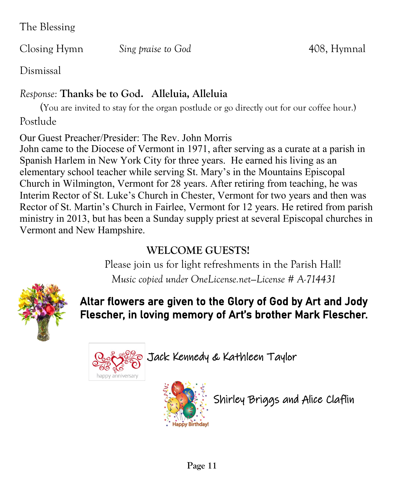The Blessing

Closing Hymn *Sing praise to God* 408, Hymnal

Dismissal

# *Response:* **Thanks be to God. Alleluia, Alleluia**

(You are invited to stay for the organ postlude or go directly out for our coffee hour.) Postlude

Our Guest Preacher/Presider: The Rev. John Morris

John came to the Diocese of Vermont in 1971, after serving as a curate at a parish in Spanish Harlem in New York City for three years. He earned his living as an elementary school teacher while serving St. Mary's in the Mountains Episcopal Church in Wilmington, Vermont for 28 years. After retiring from teaching, he was Interim Rector of St. Luke's Church in Chester, Vermont for two years and then was Rector of St. Martin's Church in Fairlee, Vermont for 12 years. He retired from parish ministry in 2013, but has been a Sunday supply priest at several Episcopal churches in Vermont and New Hampshire.

# **WELCOME GUESTS!**

 Please join us for light refreshments in the Parish Hall! *Music copied under OneLicense.net—License # A-714431*



# Altar flowers are given to the Glory of God by Art and Jody Flescher, in loving memory of Art's brother Mark Flescher.



Jack Kennedy & Kathleen Taylor



Shirley Briggs and Alice Claflin